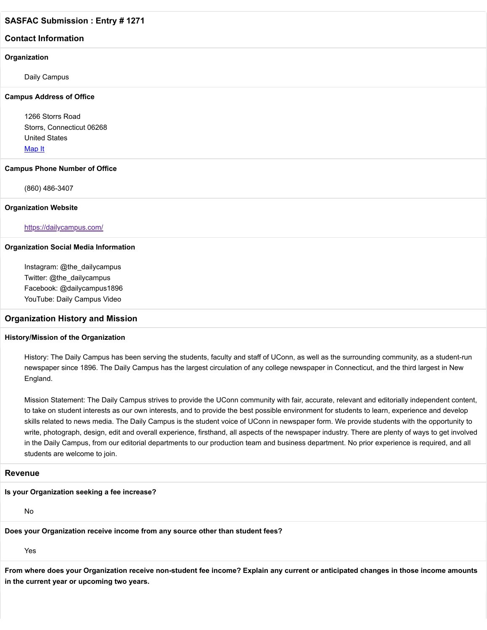## **Contact Information**

#### **Organization**

Daily Campus

#### **Campus Address of Office**

1266 Storrs Road Storrs, Connecticut 06268 United States [Map It](http://maps.google.com/maps?q=1266+Storrs+Road+Storrs%2C+Connecticut+06268+United+States)

#### **Campus Phone Number of Office**

(860) 486-3407

#### **Organization Website**

#### <https://dailycampus.com/>

#### **Organization Social Media Information**

Instagram: @the\_dailycampus Twitter: @the\_dailycampus Facebook: @dailycampus1896 YouTube: Daily Campus Video

#### **Organization History and Mission**

#### **History/Mission of the Organization**

History: The Daily Campus has been serving the students, faculty and staff of UConn, as well as the surrounding community, as a student-run newspaper since 1896. The Daily Campus has the largest circulation of any college newspaper in Connecticut, and the third largest in New England.

Mission Statement: The Daily Campus strives to provide the UConn community with fair, accurate, relevant and editorially independent content, to take on student interests as our own interests, and to provide the best possible environment for students to learn, experience and develop skills related to news media. The Daily Campus is the student voice of UConn in newspaper form. We provide students with the opportunity to write, photograph, design, edit and overall experience, firsthand, all aspects of the newspaper industry. There are plenty of ways to get involved in the Daily Campus, from our editorial departments to our production team and business department. No prior experience is required, and all students are welcome to join.

### **Revenue**

#### **Is your Organization seeking a fee increase?**

No

**Does your Organization receive income from any source other than student fees?**

Yes

**From where does your Organization receive non-student fee income? Explain any current or anticipated changes in those income amounts in the current year or upcoming two years.**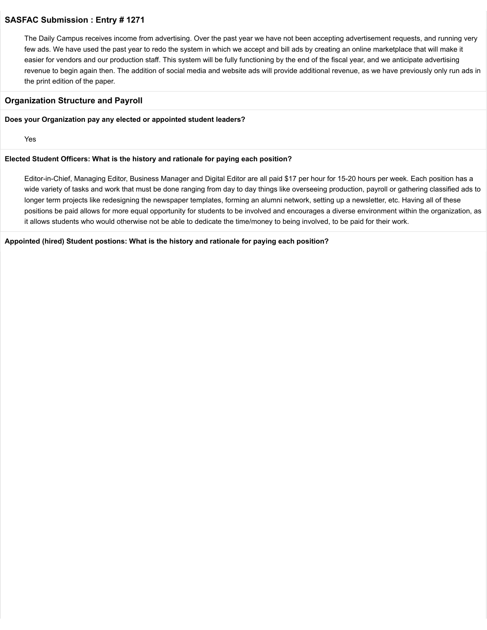The Daily Campus receives income from advertising. Over the past year we have not been accepting advertisement requests, and running very few ads. We have used the past year to redo the system in which we accept and bill ads by creating an online marketplace that will make it easier for vendors and our production staff. This system will be fully functioning by the end of the fiscal year, and we anticipate advertising revenue to begin again then. The addition of social media and website ads will provide additional revenue, as we have previously only run ads in the print edition of the paper.

## **Organization Structure and Payroll**

#### **Does your Organization pay any elected or appointed student leaders?**

Yes

#### **Elected Student Officers: What is the history and rationale for paying each position?**

Editor-in-Chief, Managing Editor, Business Manager and Digital Editor are all paid \$17 per hour for 15-20 hours per week. Each position has a wide variety of tasks and work that must be done ranging from day to day things like overseeing production, payroll or gathering classified ads to longer term projects like redesigning the newspaper templates, forming an alumni network, setting up a newsletter, etc. Having all of these positions be paid allows for more equal opportunity for students to be involved and encourages a diverse environment within the organization, as it allows students who would otherwise not be able to dedicate the time/money to being involved, to be paid for their work.

**Appointed (hired) Student postions: What is the history and rationale for paying each position?**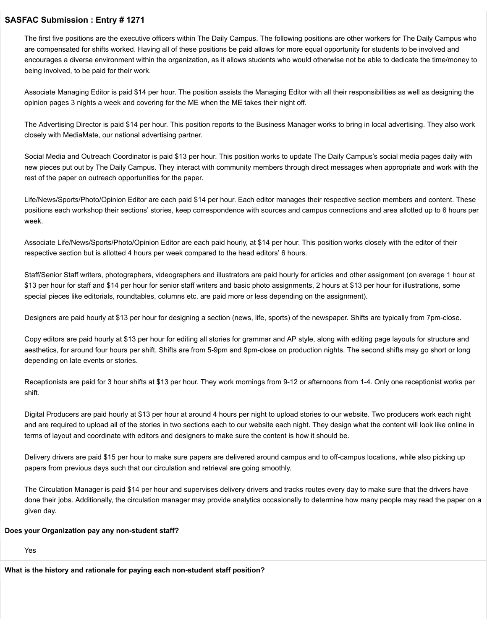The first five positions are the executive officers within The Daily Campus. The following positions are other workers for The Daily Campus who are compensated for shifts worked. Having all of these positions be paid allows for more equal opportunity for students to be involved and encourages a diverse environment within the organization, as it allows students who would otherwise not be able to dedicate the time/money to being involved, to be paid for their work.

Associate Managing Editor is paid \$14 per hour. The position assists the Managing Editor with all their responsibilities as well as designing the opinion pages 3 nights a week and covering for the ME when the ME takes their night off.

The Advertising Director is paid \$14 per hour. This position reports to the Business Manager works to bring in local advertising. They also work closely with MediaMate, our national advertising partner.

Social Media and Outreach Coordinator is paid \$13 per hour. This position works to update The Daily Campus's social media pages daily with new pieces put out by The Daily Campus. They interact with community members through direct messages when appropriate and work with the rest of the paper on outreach opportunities for the paper.

Life/News/Sports/Photo/Opinion Editor are each paid \$14 per hour. Each editor manages their respective section members and content. These positions each workshop their sections' stories, keep correspondence with sources and campus connections and area allotted up to 6 hours per week.

Associate Life/News/Sports/Photo/Opinion Editor are each paid hourly, at \$14 per hour. This position works closely with the editor of their respective section but is allotted 4 hours per week compared to the head editors' 6 hours.

Staff/Senior Staff writers, photographers, videographers and illustrators are paid hourly for articles and other assignment (on average 1 hour at \$13 per hour for staff and \$14 per hour for senior staff writers and basic photo assignments, 2 hours at \$13 per hour for illustrations, some special pieces like editorials, roundtables, columns etc. are paid more or less depending on the assignment).

Designers are paid hourly at \$13 per hour for designing a section (news, life, sports) of the newspaper. Shifts are typically from 7pm-close.

Copy editors are paid hourly at \$13 per hour for editing all stories for grammar and AP style, along with editing page layouts for structure and aesthetics, for around four hours per shift. Shifts are from 5-9pm and 9pm-close on production nights. The second shifts may go short or long depending on late events or stories.

Receptionists are paid for 3 hour shifts at \$13 per hour. They work mornings from 9-12 or afternoons from 1-4. Only one receptionist works per shift.

Digital Producers are paid hourly at \$13 per hour at around 4 hours per night to upload stories to our website. Two producers work each night and are required to upload all of the stories in two sections each to our website each night. They design what the content will look like online in terms of layout and coordinate with editors and designers to make sure the content is how it should be.

Delivery drivers are paid \$15 per hour to make sure papers are delivered around campus and to off-campus locations, while also picking up papers from previous days such that our circulation and retrieval are going smoothly.

The Circulation Manager is paid \$14 per hour and supervises delivery drivers and tracks routes every day to make sure that the drivers have done their jobs. Additionally, the circulation manager may provide analytics occasionally to determine how many people may read the paper on a given day.

#### **Does your Organization pay any non-student staff?**

Yes

**What is the history and rationale for paying each non-student staff position?**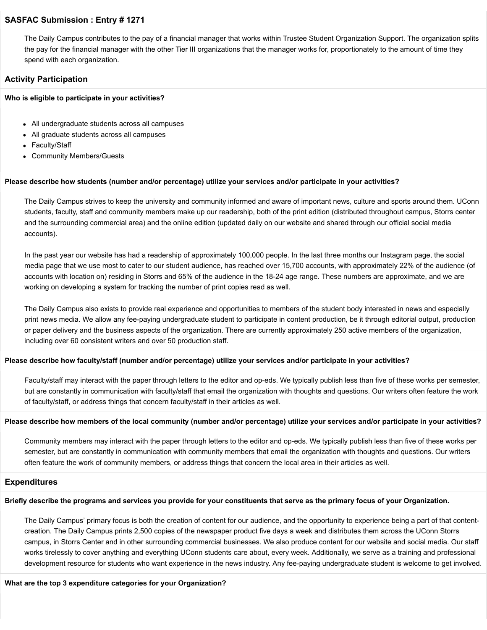The Daily Campus contributes to the pay of a financial manager that works within Trustee Student Organization Support. The organization splits the pay for the financial manager with the other Tier III organizations that the manager works for, proportionately to the amount of time they spend with each organization.

#### **Activity Participation**

#### **Who is eligible to participate in your activities?**

- All undergraduate students across all campuses
- All graduate students across all campuses
- Faculty/Staff
- Community Members/Guests

#### **Please describe how students (number and/or percentage) utilize your services and/or participate in your activities?**

The Daily Campus strives to keep the university and community informed and aware of important news, culture and sports around them. UConn students, faculty, staff and community members make up our readership, both of the print edition (distributed throughout campus, Storrs center and the surrounding commercial area) and the online edition (updated daily on our website and shared through our official social media accounts).

In the past year our website has had a readership of approximately 100,000 people. In the last three months our Instagram page, the social media page that we use most to cater to our student audience, has reached over 15,700 accounts, with approximately 22% of the audience (of accounts with location on) residing in Storrs and 65% of the audience in the 18-24 age range. These numbers are approximate, and we are working on developing a system for tracking the number of print copies read as well.

The Daily Campus also exists to provide real experience and opportunities to members of the student body interested in news and especially print news media. We allow any fee-paying undergraduate student to participate in content production, be it through editorial output, production or paper delivery and the business aspects of the organization. There are currently approximately 250 active members of the organization, including over 60 consistent writers and over 50 production staff.

#### **Please describe how faculty/staff (number and/or percentage) utilize your services and/or participate in your activities?**

Faculty/staff may interact with the paper through letters to the editor and op-eds. We typically publish less than five of these works per semester, but are constantly in communication with faculty/staff that email the organization with thoughts and questions. Our writers often feature the work of faculty/staff, or address things that concern faculty/staff in their articles as well.

#### **Please describe how members of the local community (number and/or percentage) utilize your services and/or participate in your activities?**

Community members may interact with the paper through letters to the editor and op-eds. We typically publish less than five of these works per semester, but are constantly in communication with community members that email the organization with thoughts and questions. Our writers often feature the work of community members, or address things that concern the local area in their articles as well.

#### **Expenditures**

#### **Briefly describe the programs and services you provide for your constituents that serve as the primary focus of your Organization.**

The Daily Campus' primary focus is both the creation of content for our audience, and the opportunity to experience being a part of that contentcreation. The Daily Campus prints 2,500 copies of the newspaper product five days a week and distributes them across the UConn Storrs campus, in Storrs Center and in other surrounding commercial businesses. We also produce content for our website and social media. Our staff works tirelessly to cover anything and everything UConn students care about, every week. Additionally, we serve as a training and professional development resource for students who want experience in the news industry. Any fee-paying undergraduate student is welcome to get involved.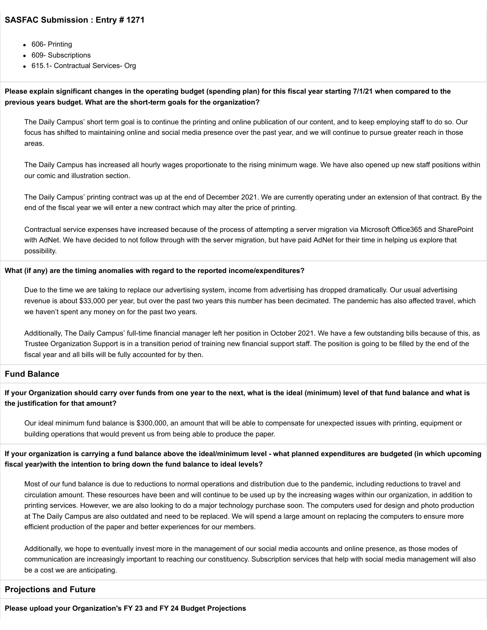- 606- Printing
- 609- Subscriptions
- 615.1- Contractual Services- Org

## **Please explain significant changes in the operating budget (spending plan) for this fiscal year starting 7/1/21 when compared to the previous years budget. What are the short-term goals for the organization?**

The Daily Campus' short term goal is to continue the printing and online publication of our content, and to keep employing staff to do so. Our focus has shifted to maintaining online and social media presence over the past year, and we will continue to pursue greater reach in those areas.

The Daily Campus has increased all hourly wages proportionate to the rising minimum wage. We have also opened up new staff positions within our comic and illustration section.

The Daily Campus' printing contract was up at the end of December 2021. We are currently operating under an extension of that contract. By the end of the fiscal year we will enter a new contract which may alter the price of printing.

Contractual service expenses have increased because of the process of attempting a server migration via Microsoft Office365 and SharePoint with AdNet. We have decided to not follow through with the server migration, but have paid AdNet for their time in helping us explore that possibility.

#### **What (if any) are the timing anomalies with regard to the reported income/expenditures?**

Due to the time we are taking to replace our advertising system, income from advertising has dropped dramatically. Our usual advertising revenue is about \$33,000 per year, but over the past two years this number has been decimated. The pandemic has also affected travel, which we haven't spent any money on for the past two years.

Additionally, The Daily Campus' full-time financial manager left her position in October 2021. We have a few outstanding bills because of this, as Trustee Organization Support is in a transition period of training new financial support staff. The position is going to be filled by the end of the fiscal year and all bills will be fully accounted for by then.

## **Fund Balance**

**If your Organization should carry over funds from one year to the next, what is the ideal (minimum) level of that fund balance and what is the justification for that amount?**

Our ideal minimum fund balance is \$300,000, an amount that will be able to compensate for unexpected issues with printing, equipment or building operations that would prevent us from being able to produce the paper.

**If your organization is carrying a fund balance above the ideal/minimum level - what planned expenditures are budgeted (in which upcoming fiscal year)with the intention to bring down the fund balance to ideal levels?**

Most of our fund balance is due to reductions to normal operations and distribution due to the pandemic, including reductions to travel and circulation amount. These resources have been and will continue to be used up by the increasing wages within our organization, in addition to printing services. However, we are also looking to do a major technology purchase soon. The computers used for design and photo production at The Daily Campus are also outdated and need to be replaced. We will spend a large amount on replacing the computers to ensure more efficient production of the paper and better experiences for our members.

Additionally, we hope to eventually invest more in the management of our social media accounts and online presence, as those modes of communication are increasingly important to reaching our constituency. Subscription services that help with social media management will also be a cost we are anticipating.

## **Projections and Future**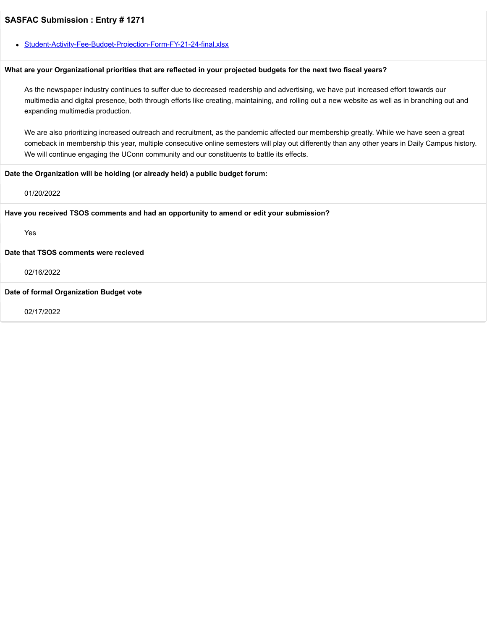[Student-Activity-Fee-Budget-Projection-Form-FY-21-24-final.xlsx](https://trusteeorgsupport.uconn.edu/index.php?gf-download=2022%2F02%2FStudent-Activity-Fee-Budget-Projection-Form-FY-21-24-final.xlsx&form-id=18&field-id=63&hash=f07b68e059c9853b0d367f48dd95645aca75e1acae6b7a6e7ec0413a7aeaeec0)

#### **What are your Organizational priorities that are reflected in your projected budgets for the next two fiscal years?**

As the newspaper industry continues to suffer due to decreased readership and advertising, we have put increased effort towards our multimedia and digital presence, both through efforts like creating, maintaining, and rolling out a new website as well as in branching out and expanding multimedia production.

We are also prioritizing increased outreach and recruitment, as the pandemic affected our membership greatly. While we have seen a great comeback in membership this year, multiple consecutive online semesters will play out differently than any other years in Daily Campus history. We will continue engaging the UConn community and our constituents to battle its effects.

#### **Date the Organization will be holding (or already held) a public budget forum:**

#### 01/20/2022

**Have you received TSOS comments and had an opportunity to amend or edit your submission?**

Yes

**Date that TSOS comments were recieved**

02/16/2022

#### **Date of formal Organization Budget vote**

02/17/2022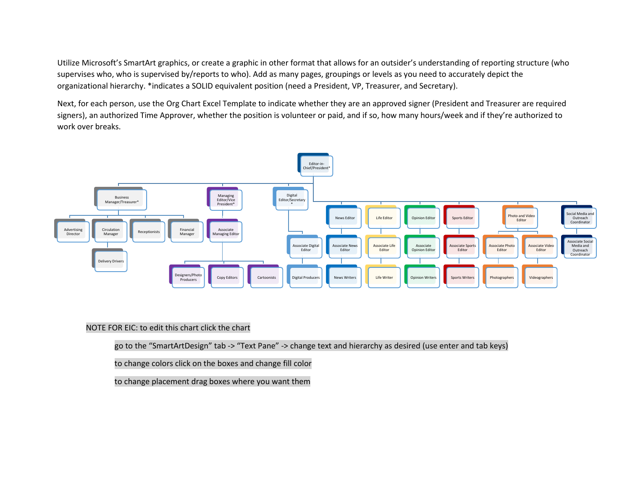Utilize Microsoft's SmartArt graphics, or create a graphic in other format that allows for an outsider's understanding of reporting structure (who supervises who, who is supervised by/reports to who). Add as many pages, groupings or levels as you need to accurately depict the organizational hierarchy. \*indicates a SOLID equivalent position (need a President, VP, Treasurer, and Secretary).

Next, for each person, use the Org Chart Excel Template to indicate whether they are an approved signer (President and Treasurer are required signers), an authorized Time Approver, whether the position is volunteer or paid, and if so, how many hours/week and if they're authorized to work over breaks.



### NOTE FOR EIC: to edit this chart click the chart

go to the "SmartArtDesign" tab -> "Text Pane" -> change text and hierarchy as desired (use enter and tab keys)

to change colors click on the boxes and change fill color

to change placement drag boxes where you want them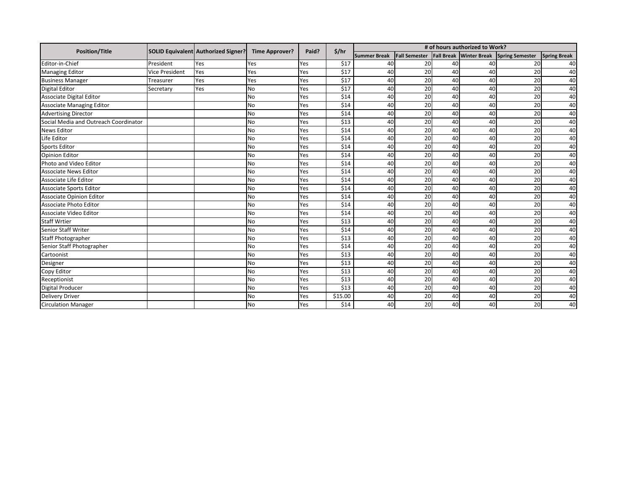| <b>Position/Title</b>                 |                | SOLID Equivalent Authorized Signer? | <b>Time Approver?</b> | Paid? | \$/hr   | # of hours authorized to Work? |                      |                   |                     |                        |                     |
|---------------------------------------|----------------|-------------------------------------|-----------------------|-------|---------|--------------------------------|----------------------|-------------------|---------------------|------------------------|---------------------|
|                                       |                |                                     |                       |       |         | <b>Summer Break</b>            | <b>Fall Semester</b> | <b>Fall Break</b> | <b>Winter Break</b> | <b>Spring Semester</b> | <b>Spring Break</b> |
| Editor-in-Chief                       | President      | Yes                                 | Yes                   | Yes   | \$17    | 40                             | 20                   | 40                | 40                  | 20                     | 40                  |
| <b>Managing Editor</b>                | Vice President | Yes                                 | Yes                   | Yes   | \$17    | 40                             | 20                   | 40                | 40                  | 20                     | 40                  |
| <b>Business Manager</b>               | Treasurer      | Yes                                 | Yes                   | Yes   | \$17    | 40                             | 20                   | 40                | 40                  | 20                     | 40                  |
| <b>Digital Editor</b>                 | Secretary      | Yes                                 | <b>No</b>             | Yes   | \$17    | 40                             | 20                   | 40                | 40                  | 20                     | 40                  |
| Associate Digital Editor              |                |                                     | No                    | Yes   | \$14    | 40                             | 20                   | 40                | 40                  | 20                     | 40                  |
| <b>Associate Managing Editor</b>      |                |                                     | No                    | Yes   | \$14    | 40                             | 20                   | 40                | 40                  | 20                     | 40                  |
| <b>Advertising Director</b>           |                |                                     | No                    | Yes   | \$14    | 40                             | 20                   | 40                | 40                  | 20                     | 40                  |
| Social Media and Outreach Coordinator |                |                                     | No                    | Yes   | \$13    | 40                             | 20                   | 40                | 40                  | 20                     | 40                  |
| <b>News Editor</b>                    |                |                                     | No                    | Yes   | \$14    | 40                             | 20                   | 40                | 40                  | 20                     | 40                  |
| Life Editor                           |                |                                     | No                    | Yes   | \$14    | 40                             | 20                   | 40                | 40                  | 20                     | 40                  |
| <b>Sports Editor</b>                  |                |                                     | No                    | Yes   | \$14    | 40                             | 20                   | 40                | 40                  | 20                     | 40                  |
| <b>Opinion Editor</b>                 |                |                                     | No                    | Yes   | \$14    | 40                             | 20                   | 40                | 40                  | 20                     | 40                  |
| Photo and Video Editor                |                |                                     | No                    | Yes   | \$14    | 40                             | 20                   | 40                | 40                  | 20                     | 40                  |
| <b>Associate News Editor</b>          |                |                                     | No                    | Yes   | \$14    | 40                             | 20                   | 40                | 40                  | 20                     | 40                  |
| Associate Life Editor                 |                |                                     | No                    | Yes   | \$14    | 40                             | 20                   | 40                | 40                  | 20                     | 40                  |
| Associate Sports Editor               |                |                                     | No                    | Yes   | \$14    | 40                             | 20                   | 40                | 40                  | 20                     | 40                  |
| Associate Opinion Editor              |                |                                     | No                    | Yes   | \$14    | 40                             | 20                   | 40                | 40                  | 20                     | 40                  |
| Associate Photo Editor                |                |                                     | No                    | Yes   | \$14    | 40                             | 20                   | 40                | 40                  | 20                     | 40                  |
| Associate Video Editor                |                |                                     | <b>No</b>             | Yes   | \$14    | 40                             | 20                   | 40                | 40                  | 20                     | 40                  |
| <b>Staff Wrtier</b>                   |                |                                     | No                    | Yes   | \$13    | 40                             | 20                   | 40                | 40                  | 20                     | 40                  |
| Senior Staff Writer                   |                |                                     | No                    | Yes   | \$14    | 40                             | 20                   | 40                | 40                  | 20                     | 40                  |
| <b>Staff Photographer</b>             |                |                                     | No                    | Yes   | \$13    | 40                             | 20                   | 40                | 40                  | 20                     | 40                  |
| Senior Staff Photographer             |                |                                     | No                    | Yes   | \$14    | 40                             | 20                   | 40                | 40                  | 20                     | 40                  |
| Cartoonist                            |                |                                     | <b>No</b>             | Yes   | \$13    | 40                             | 20                   | 40                | 40                  | 20                     | 40                  |
| Designer                              |                |                                     | No                    | Yes   | \$13    | 40                             | 20                   | 40                | 40                  | 20                     | 40                  |
| Copy Editor                           |                |                                     | No                    | Yes   | \$13    | 40                             | 20                   | 40                | 40                  | 20                     | 40                  |
| Receptionist                          |                |                                     | No                    | Yes   | \$13    | 40                             | 20                   | 40                | 40                  | 20                     | 40                  |
| Digital Producer                      |                |                                     | No                    | Yes   | \$13    | 40                             | 20                   | 40                | 40                  | 20                     | 40                  |
| <b>Delivery Driver</b>                |                |                                     | No                    | Yes   | \$15.00 | 40                             | 20                   | 40                | 40                  | 20                     | 40                  |
| <b>Circulation Manager</b>            |                |                                     | No                    | Yes   | \$14    | 40                             | 20                   | 40                | 40                  | 20                     | 40                  |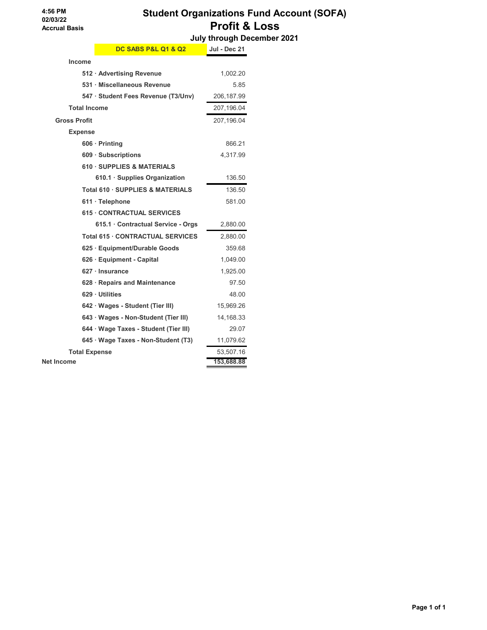# **Student Organizations Fund Account (SOFA) Profit & Loss**

 **July through December 2021**

|                      | <b>DC SABS P&amp;L Q1 &amp; Q2</b>    | <b>Jul - Dec 21</b> |
|----------------------|---------------------------------------|---------------------|
| Income               |                                       |                     |
|                      | 512 · Advertising Revenue             | 1,002.20            |
|                      | 531 · Miscellaneous Revenue           | 5.85                |
|                      | 547 · Student Fees Revenue (T3/Unv)   | 206,187.99          |
| <b>Total Income</b>  |                                       | 207,196.04          |
| <b>Gross Profit</b>  |                                       | 207,196.04          |
| <b>Expense</b>       |                                       |                     |
|                      | $606 \cdot$ Printing                  | 866.21              |
|                      | 609 · Subscriptions                   | 4,317.99            |
|                      | <b>610 · SUPPLIES &amp; MATERIALS</b> |                     |
|                      | 610.1 · Supplies Organization         | 136.50              |
|                      | Total 610 · SUPPLIES & MATERIALS      | 136.50              |
|                      | $611 \cdot$ Telephone                 | 581.00              |
|                      | <b>615 CONTRACTUAL SERVICES</b>       |                     |
|                      | 615.1 Contractual Service - Orgs      | 2,880.00            |
|                      | Total 615 · CONTRACTUAL SERVICES      | 2,880.00            |
|                      | 625 · Equipment/Durable Goods         | 359.68              |
|                      | 626 · Equipment - Capital             | 1,049.00            |
|                      | 627 · Insurance                       | 1,925.00            |
|                      | 628 · Repairs and Maintenance         | 97.50               |
|                      | 629 Utilities                         | 48.00               |
|                      | 642 · Wages - Student (Tier III)      | 15,969.26           |
|                      | 643 · Wages - Non-Student (Tier III)  | 14,168.33           |
|                      | 644 · Wage Taxes - Student (Tier III) | 29.07               |
|                      | 645 · Wage Taxes - Non-Student (T3)   | 11,079.62           |
| <b>Total Expense</b> |                                       | 53,507.16           |
| <b>Net Income</b>    | 153,688.88                            |                     |